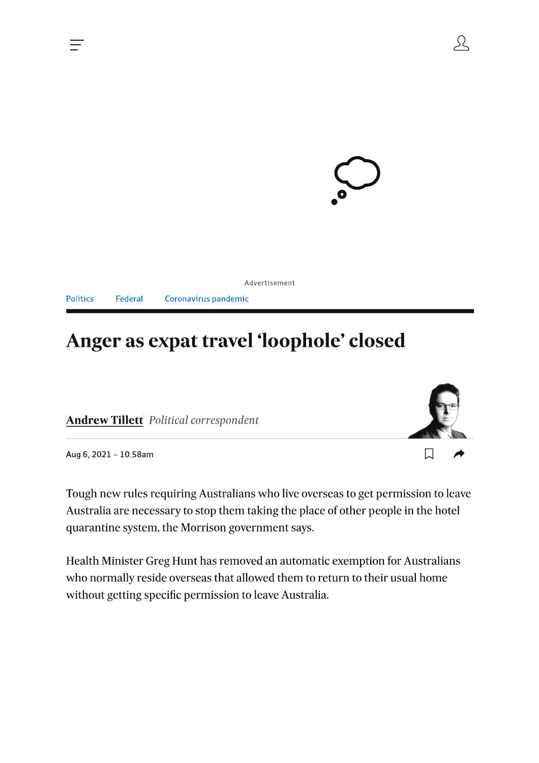

|  |                                       | Advertisement |
|--|---------------------------------------|---------------|
|  | Politics Federal Coronavirus pandemic |               |

# Anger as expat travel 'loophole' closed

**Andrew Tillett** Political correspondent



55

Aug 6, 2021 - 10.58am

Tough new rules requiring Australians who live overseas to get permission to leave Australia are necessary to stop them taking the place of other people in the hotel quarantine system, the Morrison government says.

Health Minister Greg Hunt has removed an automatic exemption for Australians who normally reside overseas that allowed them to return to their usual home without getting specific permission to leave Australia.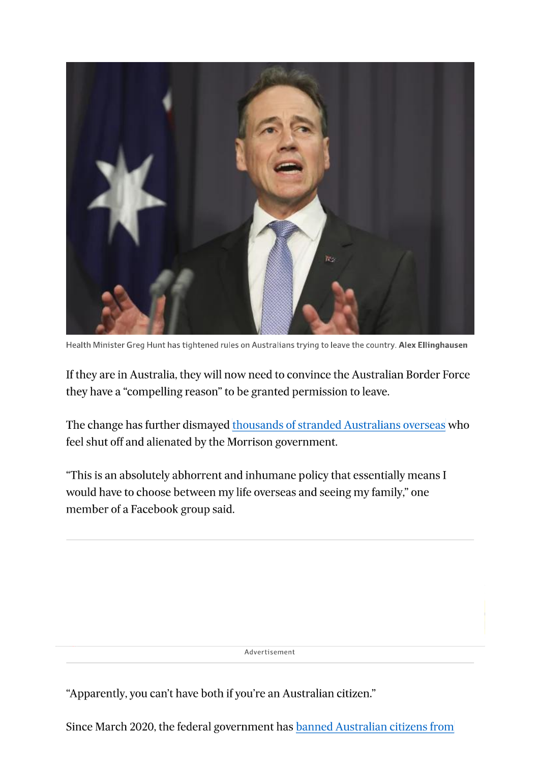

Health Minister Greg Hunt has tightened rules on Australians trying to leave the country. Alex Ellinghausen

If they are in Australia, they will now need to convince the Australian Border Force they have a "compelling reason" to be granted permission to leave.

The change has further dismayed thousands of stranded Australians overseas who feel shut off and alienated by the Morrison government.

"This is an absolutely abhorrent and inhumane policy that essentially means I would have to choose between my life overseas and seeing my family," one member of a Facebook group said.

Advertisement

"Apparently, you can't have both if you're an Australian citizen."

Since March 2020, the federal government has banned Australian citizens from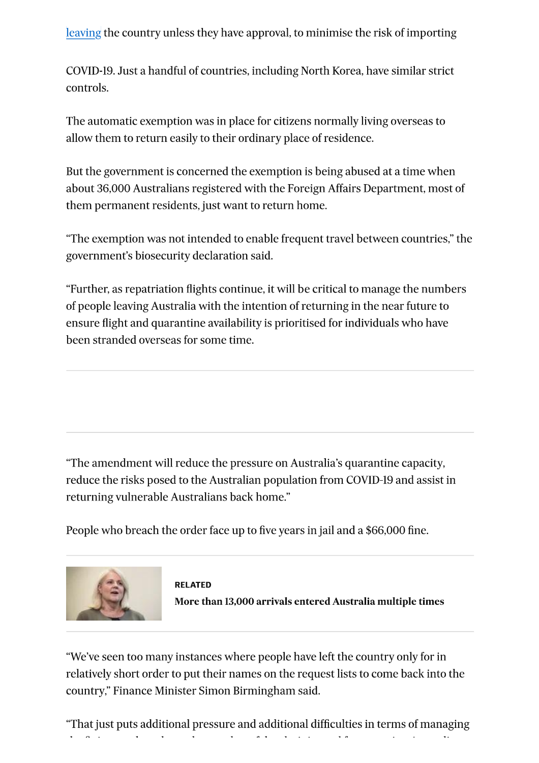leaving the country unless they have approval, to minimise the risk of importing

COVID-19. Just a handful of countries, including North Korea, have similar strict controls.

The automatic exemption was in place for citizens normally living overseas to allow them to return easily to their ordinary place of residence.

But the government is concerned the exemption is being abused at a time when about 36,000 Australians registered with the Foreign Affairs Department, most of them permanent residents, just want to return home.

"The exemption was not intended to enable frequent travel between countries," the government's biosecurity declaration said.

"Further, as repatriation flights continue, it will be critical to manage the numbers of people leaving Australia with the intention of returning in the near future to ensure flight and quarantine availability is prioritised for individuals who have been stranded overseas for some time.

"The amendment will reduce the pressure on Australia's quarantine capacity, reduce the risks posed to the Australian population from COVID-19 and assist in returning vulnerable Australians back home."

People who breach the order face up to five years in jail and a \$66,000 fine.





"We've seen too many instances where people have left the country only for in relatively short order to put their names on the request lists to come back into the country," Finance Minister Simon Birmingham said.

"That just puts additional pressure and additional difficulties in terms of managing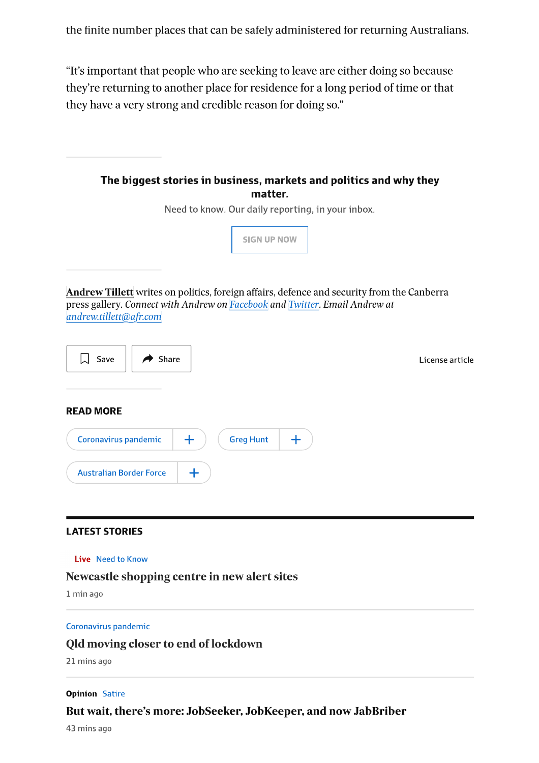the finite number places that can be safely administered for returning Australians.

"It's important that people who are seeking to leave are either doing so because they're returning to another place for residence for a long period of time or that they have a very strong and credible reason for doing so."



Newcastle shopping centre in new alert sites

1 min ago

#### Coronavirus pandemic

### Old moving closer to end of lockdown

21 mins ago

#### **Opinion Satire**

### But wait, there's more: JobSeeker, JobKeeper, and now JabBriber

43 mins ago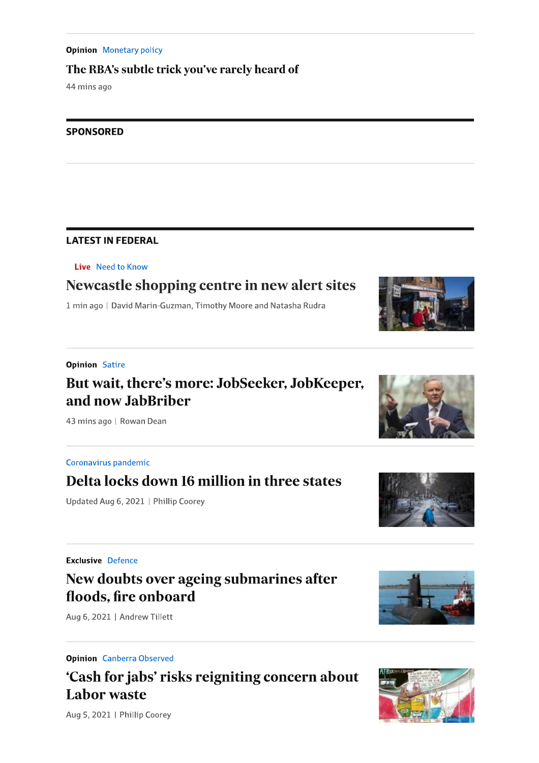#### **Opinion** Monetary policy

### The RBA's subtle trick you've rarely heard of

44 mins ago

#### **SPONSORED**

### **LATEST IN FEDERAL**

Live Need to Know

# Newcastle shopping centre in new alert sites

1 min ago | David Marin-Guzman, Timothy Moore and Natasha Rudra

### **Opinion Satire**

### But wait, there's more: JobSeeker, JobKeeper, and now JabBriber

43 mins ago | Rowan Dean

### Coronavirus pandemic

### Delta locks down 16 million in three states

Updated Aug 6, 2021 | Phillip Coorey

#### **Exclusive Defence**

### New doubts over ageing submarines after floods, fire onboard

Aug 6, 2021 | Andrew Tillett

**Opinion** Canberra Observed

# 'Cash for jabs' risks reigniting concern about **Labor waste**

Aug 5, 2021 | Phillip Coorey









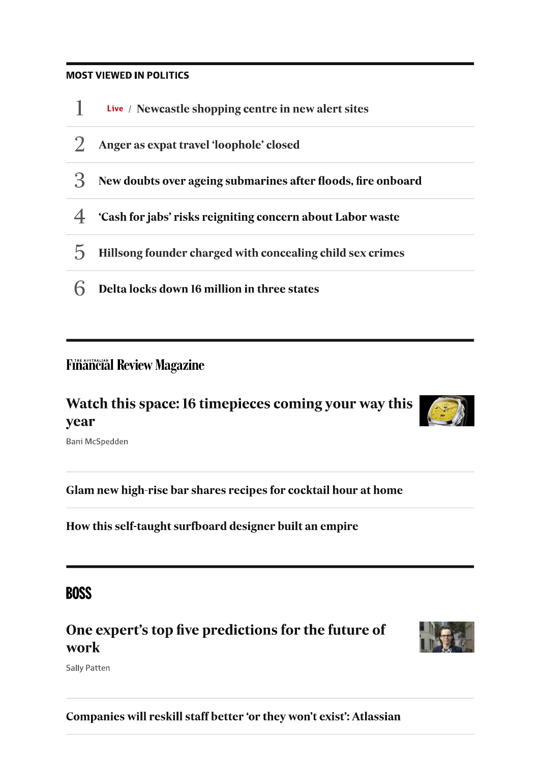### **MOST VIEWED IN POLITICS**



### **Financial Review Magazine**

# Watch this space: 16 timepieces coming your way this year



Bani McSpedden

Glam new high-rise bar shares recipes for cocktail hour at home

How this self-taught surfboard designer built an empire

### **BOSS**

# One expert's top five predictions for the future of work



**Sally Patten** 

Companies will reskill staff better 'or they won't exist': Atlassian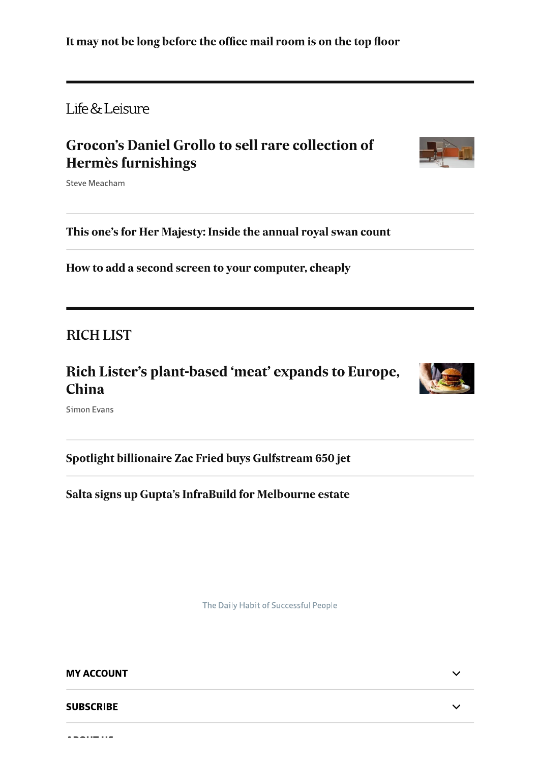Life & Leisure

# **Grocon's Daniel Grollo to sell rare collection of** Hermès furnishings



**Steve Meacham** 

This one's for Her Majesty: Inside the annual royal swan count

How to add a second screen to your computer, cheaply

**RICH LIST** 

Rich Lister's plant-based 'meat' expands to Europe, **China** 



**Simon Evans** 

Spotlight billionaire Zac Fried buys Gulfstream 650 jet

Salta signs up Gupta's InfraBuild for Melbourne estate

The Daily Habit of Successful People

### **MY ACCOUNT**

**SUBSCRIBE** 

 $\overline{\phantom{a}}$